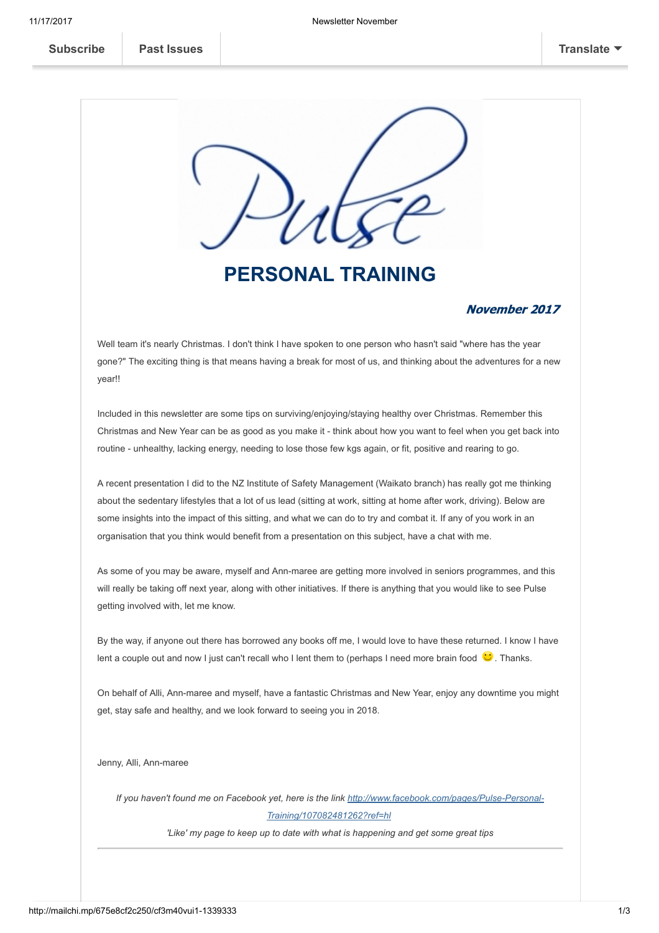

# PERSONAL TRAINING

#### November 2017

Well team it's nearly Christmas. I don't think I have spoken to one person who hasn't said "where has the year gone?" The exciting thing is that means having a break for most of us, and thinking about the adventures for a new year!!

Included in this newsletter are some tips on surviving/enjoying/staying healthy over Christmas. Remember this Christmas and New Year can be as good as you make it - think about how you want to feel when you get back into routine - unhealthy, lacking energy, needing to lose those few kgs again, or fit, positive and rearing to go.

A recent presentation I did to the NZ Institute of Safety Management (Waikato branch) has really got me thinking about the sedentary lifestyles that a lot of us lead (sitting at work, sitting at home after work, driving). Below are some insights into the impact of this sitting, and what we can do to try and combat it. If any of you work in an organisation that you think would benefit from a presentation on this subject, have a chat with me.

As some of you may be aware, myself and Ann-maree are getting more involved in seniors programmes, and this will really be taking off next year, along with other initiatives. If there is anything that you would like to see Pulse getting involved with, let me know.

By the way, if anyone out there has borrowed any books off me, I would love to have these returned. I know I have lent a couple out and now I just can't recall who I lent them to (perhaps I need more brain food  $\ddot{\bullet}$ . Thanks.

On behalf of Alli, Ann-maree and myself, have a fantastic Christmas and New Year, enjoy any downtime you might get, stay safe and healthy, and we look forward to seeing you in 2018.

Jenny, Alli, Ann-maree

If you haven't found me on Facebook [yet, here is the link http://www.facebook.com/pages/Pulse-Personal-](https://www.facebook.com/Pulse-Personal-Training-107082481262/)Training/107082481262?ref=hl

'Like' my page to keep up to date with what is happening and get some great tips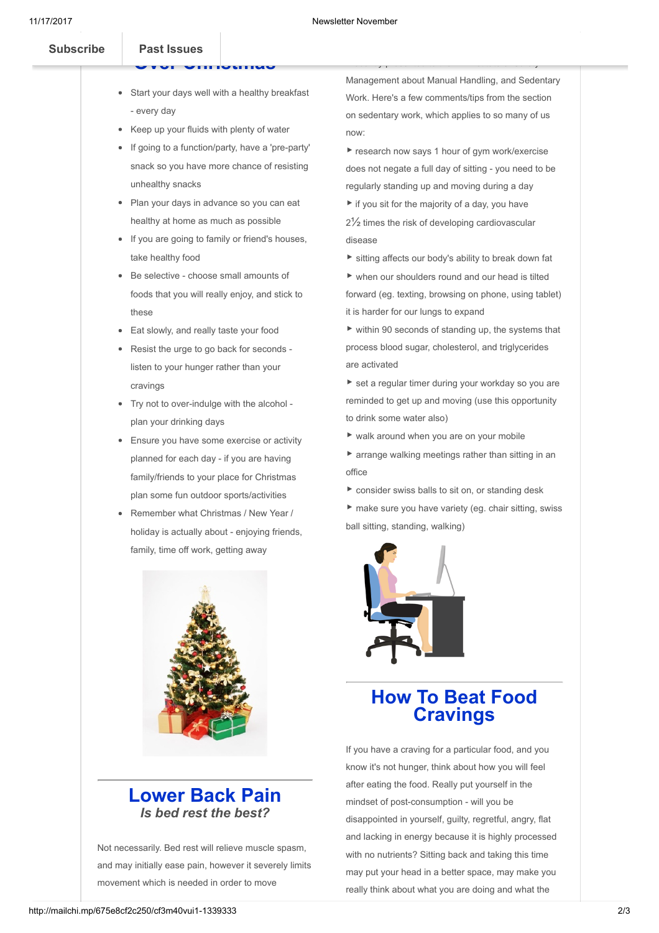[Subscribe](http://eepurl.com/oUPzX) **Past Issues** 

### OVER CHRISTMAS

- Start your days well with a healthy breakfast - every day
- Keep up your fluids with plenty of water
- If going to a function/party, have a 'pre-party' snack so you have more chance of resisting unhealthy snacks
- Plan your days in advance so you can eat healthy at home as much as possible
- If you are going to family or friend's houses, take healthy food
- Be selective choose small amounts of foods that you will really enjoy, and stick to these
- Eat slowly, and really taste your food
- Resist the urge to go back for seconds listen to your hunger rather than your cravings
- Try not to over-indulge with the alcohol plan your drinking days
- **Ensure you have some exercise or activity** planned for each day - if you are having family/friends to your place for Christmas plan some fun outdoor sports/activities
- Remember what Christmas / New Year / holiday is actually about - enjoying friends, family, time off work, getting away



#### Lower Back Pain Is bed rest the best?

Not necessarily. Bed rest will relieve muscle spasm, and may initially ease pain, however it severely limits movement which is needed in order to move

Management about Manual Handling, and Sedentary Work. Here's a few comments/tips from the section on sedentary work, which applies to so many of us now:

I recently presented to the NZ Institute of Safety

- ▶ research now says 1 hour of gym work/exercise does not negate a full day of sitting - you need to be regularly standing up and moving during a day
- $\blacktriangleright$  if you sit for the majority of a day, you have 2½ times the risk of developing cardiovascular disease
- ▶ sitting affects our body's ability to break down fat
- ▶ when our shoulders round and our head is tilted forward (eg. texting, browsing on phone, using tablet) it is harder for our lungs to expand
- $\triangleright$  within 90 seconds of standing up, the systems that process blood sugar, cholesterol, and triglycerides are activated
- ▶ set a regular timer during your workday so you are reminded to get up and moving (use this opportunity to drink some water also)
- $\blacktriangleright$  walk around when you are on your mobile
- ▶ arrange walking meetings rather than sitting in an office
- ▶ consider swiss balls to sit on, or standing desk
- ▶ make sure you have variety (eg. chair sitting, swiss ball sitting, standing, walking)



## How To Beat Food **Cravings**

If you have a craving for a particular food, and you know it's not hunger, think about how you will feel after eating the food. Really put yourself in the mindset of post-consumption - will you be disappointed in yourself, guilty, regretful, angry, flat and lacking in energy because it is highly processed with no nutrients? Sitting back and taking this time may put your head in a better space, may make you really think about what you are doing and what the